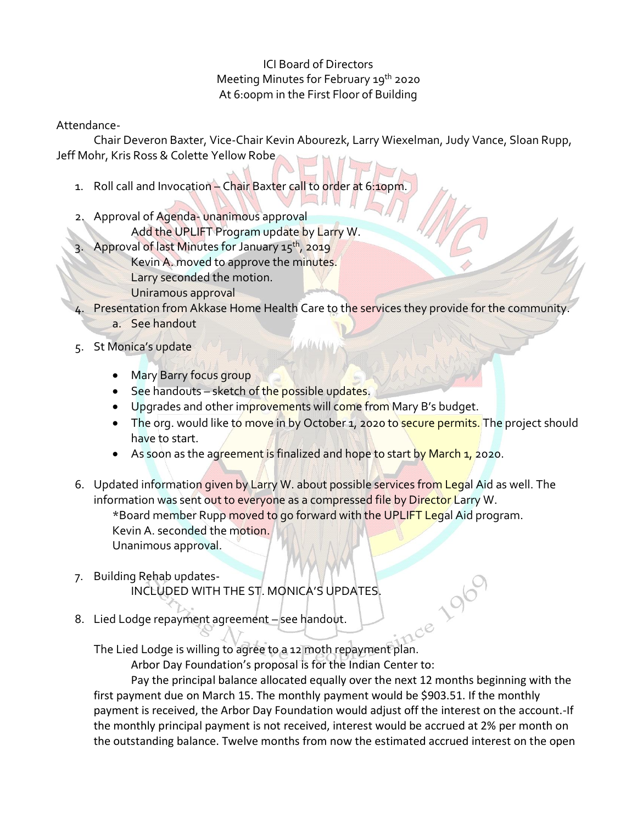## ICI Board of Directors Meeting Minutes for February 19<sup>th</sup> 2020 At 6:00pm in the First Floor of Building

Attendance-

Chair Deveron Baxter, Vice-Chair Kevin Abourezk, Larry Wiexelman, Judy Vance, Sloan Rupp, Jeff Mohr, Kris Ross & Colette Yellow Robe

- 1. Roll call and Invocation Chair Baxter call to order at 6:10pm.
- 2. Approval of Agenda- unanimous approval
	- Add the UPLIFT Program update by Larry W.
- 3. Approval of last Minutes for January 15<sup>th</sup>, 2019
	- Kevin A. moved to approve the minutes.
	- Larry seconded the motion.
	- Uniramous approval
- Presentation from Akkase Home Health Care to the services they provide for the community. a. See handout
- 5. St Monica's update
	- Mary Barry focus group
	- See handouts sketch of the possible updates.
	- Upgrades and other improvements will come from Mary B's budget.
	- The org. would like to move in by October 1, 2020 to secure permits. The project should have to start.
	- As soon as the agreement is finalized and hope to start by March 1, 2020.
- 6. Updated information given by Larry W. about possible services from Legal Aid as well. The information was sent out to everyone as a compressed file by Director Larry W.

\*Board member Rupp moved to go forward with the UPLIFT Legal Aid program. Kevin A. seconded the motion. Unanimous approval.

- 7. Building Rehab updates-INCLUDED WITH THE ST. MONICA'S UPDATES.
- 8. Lied Lodge repayment agreement see handout.

The Lied Lodge is willing to agree to a 12 moth repayment plan.

Arbor Day Foundation's proposal is for the Indian Center to:

Pay the principal balance allocated equally over the next 12 months beginning with the first payment due on March 15. The monthly payment would be \$903.51. If the monthly payment is received, the Arbor Day Foundation would adjust off the interest on the account.-If the monthly principal payment is not received, interest would be accrued at 2% per month on the outstanding balance. Twelve months from now the estimated accrued interest on the open

ce 196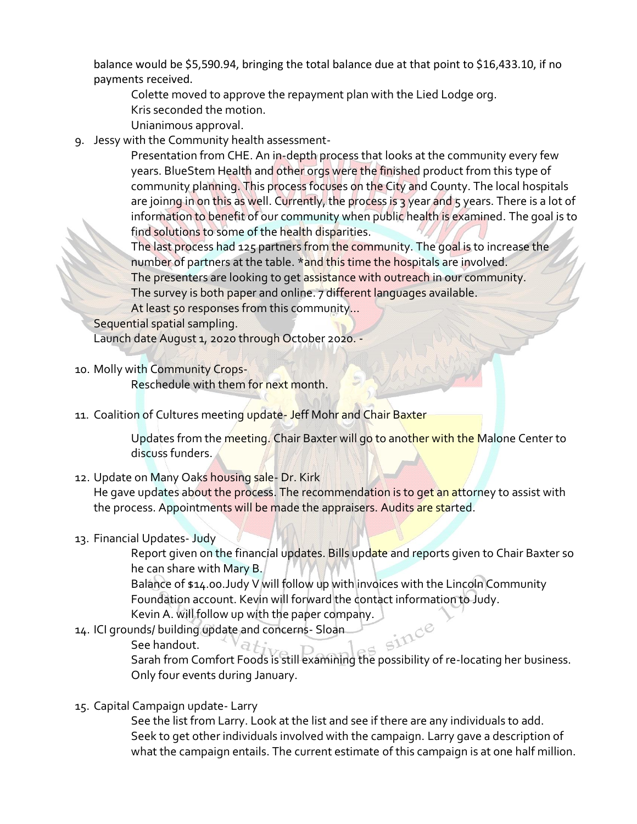balance would be \$5,590.94, bringing the total balance due at that point to \$16,433.10, if no payments received.

Colette moved to approve the repayment plan with the Lied Lodge org.

Kris seconded the motion.

Unianimous approval.

9. Jessy with the Community health assessment-

Presentation from CHE. An in-depth process that looks at the community every few years. BlueStem Health and other orgs were the finished product from this type of community planning. This process focuses on the City and County. The local hospitals are joinng in on this as well. Currently, the process is 3 year and 5 years. There is a lot of information to benefit of our community when public health is examined. The goal is to find solutions to some of the health disparities.

The last process had 125 partners from the community. The goal is to increase the number of partners at the table. \*and this time the hospitals are involved.

The presenters are looking to get assistance with outreach in our community.

The survey is both paper and online. 7 different languages available.

At least 50 responses from this community...

Sequential spatial sampling.

Launch date August 1, 2020 through October 2020. -

10. Molly with Community Crops-

Reschedule with them for next month.

11. Coalition of Cultures meeting update- Jeff Mohr and Chair Baxter

Updates from the meeting. Chair Baxter will go to another with the Malone Center to discuss funders.

12. Update on Many Oaks housing sale- Dr. Kirk

He gave updates about the process. The recommendation is to get an attorney to assist with the process. Appointments will be made the appraisers. Audits are started.

13. Financial Updates- Judy

Report given on the financial updates. Bills update and reports given to Chair Baxter so he can share with Mary B.

Balance of \$14.00.Judy V will follow up with invoices with the Lincoln Community Foundation account. Kevin will forward the contact information to Judy.

Kevin A. will follow up with the paper company.<br>unds/ building update and concerns- Sloan<br>See handout.

- 14. ICI grounds/ building update and concerns- Sloan
	- See handout.

Sarah from Comfort Foods is still examining the possibility of re-locating her business. Only four events during January.

15. Capital Campaign update- Larry

See the list from Larry. Look at the list and see if there are any individuals to add. Seek to get other individuals involved with the campaign. Larry gave a description of what the campaign entails. The current estimate of this campaign is at one half million.